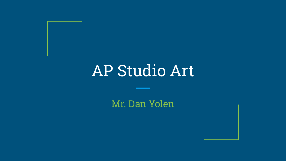# AP Studio Art

Mr. Dan Yolen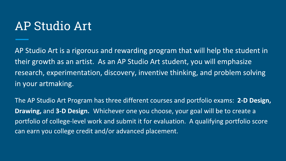# AP Studio Art

AP Studio Art is a rigorous and rewarding program that will help the student in their growth as an artist. As an AP Studio Art student, you will emphasize research, experimentation, discovery, inventive thinking, and problem solving in your artmaking.

The AP Studio Art Program has three different courses and portfolio exams: 2-D Design, Drawing, and 3-D Design. Whichever one you choose, your goal will be to create a portfolio of college-level work and submit it for evaluation. A qualifying portfolio score can earn you college credit and/or advanced placement.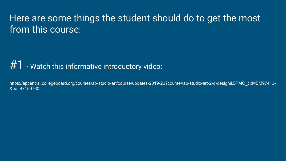# Here are some things the student should do to get the most from this course:

#### $#1$  - Watch this informative introductory video:

https://apcentral.collegeboard.org/courses/ap-studio-art/course/updates-2019-20?course=ap-studio-art-2-d-design&SFMC\_cid=EM97413- &rid=47159760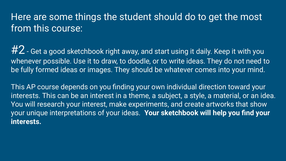# Here are some things the student should do to get the most from this course:

 $#2$  - Get a good sketchbook right away, and start using it daily. Keep it with you whenever possible. Use it to draw, to doodle, or to write ideas. They do not need to be fully formed ideas or images. They should be whatever comes into your mind.

This AP course depends on you finding your own individual direction toward your interests. This can be an interest in a theme, a subject, a style, a material, or an idea. You will research your interest, make experiments, and create artworks that show your unique interpretations of your ideas. **Your sketchbook will help you find your interests.**